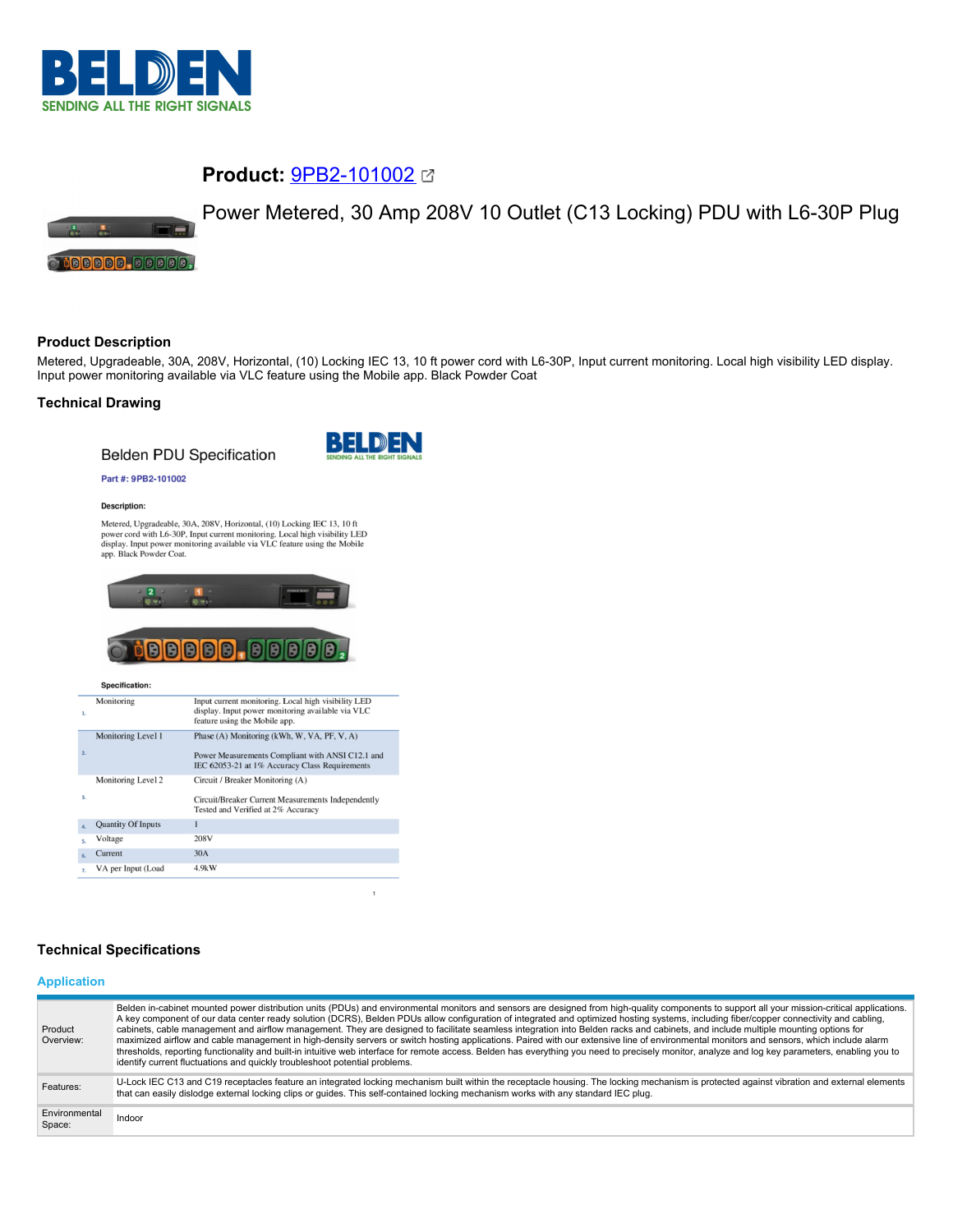

# **Product:** [9PB2-101002](https://catalog.belden.com/index.cfm?event=pd&p=PF_9PB2101002&tab=downloads)



## **Product Description**

 $\blacksquare$ 

**:00000.00000.** 

Metered, Upgradeable, 30A, 208V, Horizontal, (10) Locking IEC 13, 10 ft power cord with L6-30P, Input current monitoring. Local high visibility LED display. Input power monitoring available via VLC feature using the Mobile app. Black Powder Coat

#### **Technical Drawing**

**Belden PDU Specification** 



 $\mathbf{1}$ 

#### Part #: 9PB2-101002

#### Description:

Metered, Upgradeable, 30A, 208V, Horizontal, (10) Locking IEC 13, 10 ft Metericus, Upgraatente, 3004, 2005 V, riotzoniari, troj Local high visibility LED<br>power cord with L6-30P, Input current monitoring. Local high visibility LED<br>display. Input power monitoring available via VLC feature using



# **BBBBB.BBBBB.**

Specification:

| $\mathbf{1}$     | Monitoring                | Input current monitoring. Local high visibility LED<br>display. Input power monitoring available via VLC<br>feature using the Mobile app.         |
|------------------|---------------------------|---------------------------------------------------------------------------------------------------------------------------------------------------|
| 2.               | Monitoring Level 1        | Phase (A) Monitoring (kWh, W, VA, PF, V, A)<br>Power Measurements Compliant with ANSI C12.1 and<br>IEC 62053-21 at 1% Accuracy Class Requirements |
| $\overline{3}$ . | Monitoring Level 2        | Circuit / Breaker Monitoring (A)<br>Circuit/Breaker Current Measurements Independently<br>Tested and Verified at 2% Accuracy                      |
| $\Delta$         | <b>Quantity Of Inputs</b> |                                                                                                                                                   |
| s.               | Voltage                   | 208V                                                                                                                                              |
| 6.               | Current                   | 30A                                                                                                                                               |
| $\overline{z}$   | VA per Input (Load        | 4.9kW                                                                                                                                             |

# **Technical Specifications**

#### **Application**

| Product<br>Overview:    | Belden in-cabinet mounted power distribution units (PDUs) and environmental monitors and sensors are designed from high-quality components to support all your mission-critical applications.<br>A key component of our data center ready solution (DCRS), Belden PDUs allow configuration of integrated and optimized hosting systems, including fiber/copper connectivity and cabling,<br>cabinets, cable management and airflow management. They are designed to facilitate seamless integration into Belden racks and cabinets, and include multiple mounting options for<br>maximized airflow and cable management in high-density servers or switch hosting applications. Paired with our extensive line of environmental monitors and sensors, which include alarm<br>thresholds, reporting functionality and built-in intuitive web interface for remote access. Belden has everything you need to precisely monitor, analyze and log key parameters, enabling you to<br>identify current fluctuations and quickly troubleshoot potential problems. |
|-------------------------|-------------------------------------------------------------------------------------------------------------------------------------------------------------------------------------------------------------------------------------------------------------------------------------------------------------------------------------------------------------------------------------------------------------------------------------------------------------------------------------------------------------------------------------------------------------------------------------------------------------------------------------------------------------------------------------------------------------------------------------------------------------------------------------------------------------------------------------------------------------------------------------------------------------------------------------------------------------------------------------------------------------------------------------------------------------|
| Features:               | U-Lock IEC C13 and C19 receptacles feature an integrated locking mechanism built within the receptacle housing. The locking mechanism is protected against vibration and external elements<br>that can easily dislodge external locking clips or guides. This self-contained locking mechanism works with any standard IEC plug.                                                                                                                                                                                                                                                                                                                                                                                                                                                                                                                                                                                                                                                                                                                            |
| Environmental<br>Space: | Indoor                                                                                                                                                                                                                                                                                                                                                                                                                                                                                                                                                                                                                                                                                                                                                                                                                                                                                                                                                                                                                                                      |